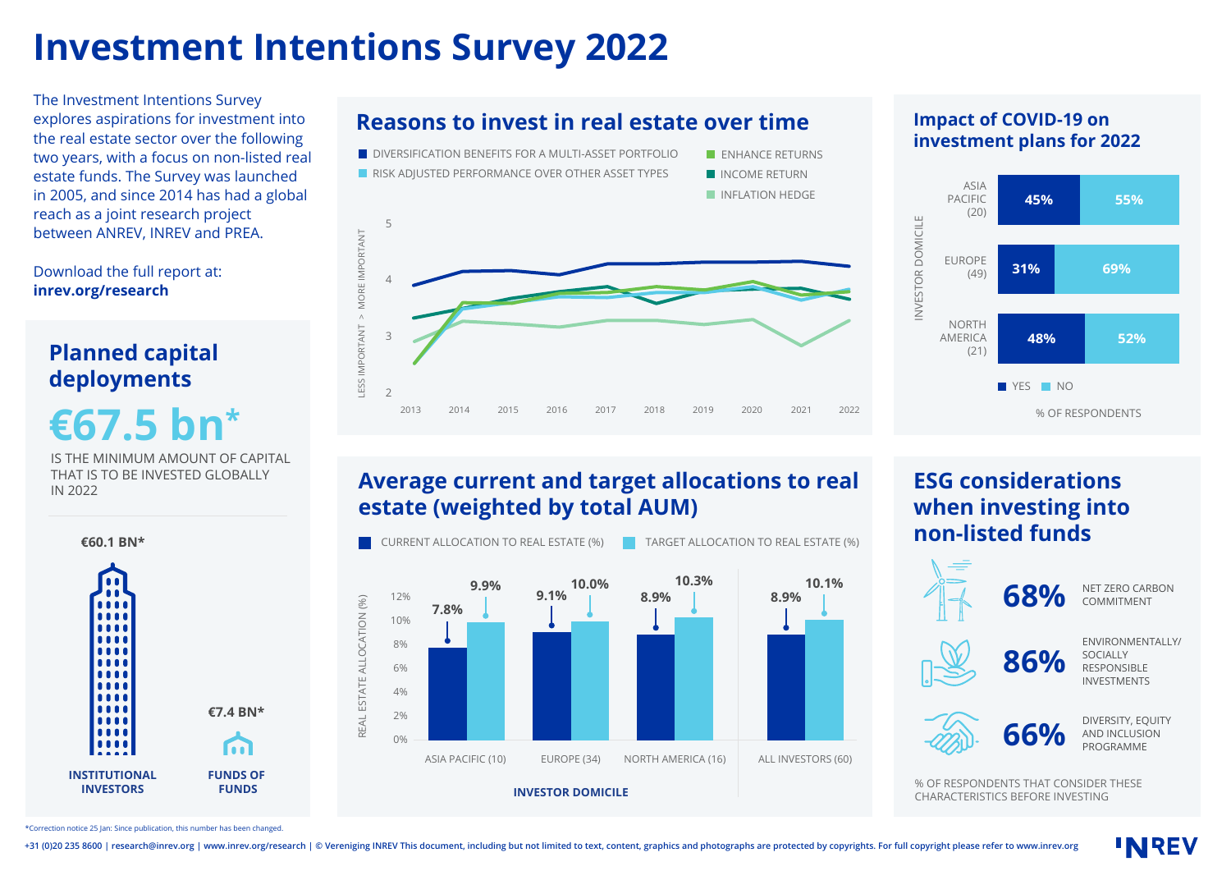## **Investment Intentions Survey 2022**

The Investment Intentions Survey explores aspirations for investment into the real estate sector over the following two years, with a focus on non-listed real estate funds. The Survey was launched in 2005, and since 2014 has had a global reach as a joint research project between ANREV, INREV and PREA.



**Reasons to invest in real estate over time**

#### **Impact of COVID-19 on investment plans for 2022**



### **Average current and target allocations to real estate (weighted by total AUM)**



### **ESG considerations when investing into non-listed funds**



DIVERSITY, EQUITY AND INCLUSION

**INREV** 

PROGRAMME

NET ZERO CARBON **COMMITMENT** 

ENVIRONMENTALLY/

SOCIALLY RESPONSIBLE INVESTMENTS

% OF RESPONDENTS THAT CONSIDER THESE CHARACTERISTICS BEFORE INVESTING

Download the full report at: **inrev.org/research**

# **Planned capital**

**€67.5 bn\***

IS THE MINIMUM AMOUNT OF CAPITAL THAT IS TO BE INVESTED GLOBALLY IN 2022



\*Correction notice 25 Jan: Since publication, this number has been changed.